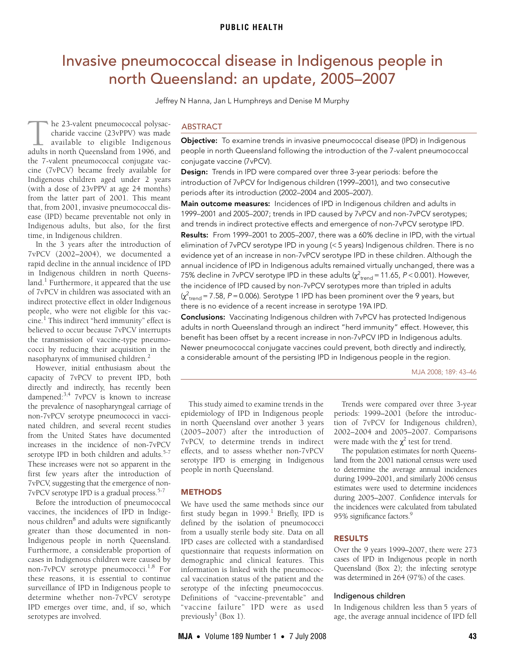# <span id="page-0-0"></span>Invasive pneumococcal disease in Indigenous people in north Queensland: an update, 2005–2007

Jeffrey N Hanna, Jan L Humphreys and Denise M Murphy

he 23-valent pneumococcal polysaccharide vaccine (23vPPV) was made available to eligible Indigenous he 23-valent pneumococcal polysac-<br>charide vaccine (23vPPV) was made<br>available to eligible Indigenous<br>adults in north Queensland from 1996, and the 7-valent pneumococcal conjugate vaccine (7vPCV) became freely available for Indigenous children aged under 2 years (with a dose of 23vPPV at age 24 months) from the latter part of 2001. This meant that, from 2001, invasive pneumococcal disease (IPD) became preventable not only in Indigenous adults, but also, for the first time, in Indigenous children.

In the 3 years after the introduction of 7vPCV (2002–2004), we documented a rapid decline in the annual incidence of IPD in Indigenous children in north Queensland.<sup>1</sup> Furthermore, it appeared that the use of 7vPCV in children was associated with an indirect protective effect in older Indigenous people, who were not eligible for this vaccine.[1](#page-3-0) This indirect "herd immunity" effect is believed to occur because 7vPCV interrupts the transmission of vaccine-type pneumococci by reducing their acquisition in the nasopharynx of immunised children.[2](#page-3-1)

serotype IPD in both children and adults.<sup>[5](#page-3-4)-[7](#page-3-5) eft</sup> These increases were not so [ap](#page-0-0)[pare](#page-3-8)nt in the first few years after the introduction of  $P^e$ ntwo years and  $7vPCV$ , suggesting that the emergence of non-However, initial enthusiasm about the capacity of 7vPCV to prevent IPD, both directly and indirectly, has recently been dampened:[3](#page-3-2),[4](#page-3-3) 7vPCV is known to increase the prevalence of nasopharyngeal carriage of non-7vPCV serotype pneumococci in vaccinated children, and several recent studies from the United States have documented increases in the incidence of non-7vPCV 7vPCV serotype IPD is a gradual process[.5-](#page-3-4)[7](#page-3-5)

Before the introduction of pneumococcal vaccines, the incidences of IPD in Indige-nous children<sup>[8](#page-3-6)</sup> and adults were significantly greater than those documented in non-Indigenous people in north Queensland. Furthermore, a considerable proportion of cases in Indigenous children were caused by non-7vPCV serotype pneumococci.[1](#page-3-0),[8](#page-3-6) For these reasons, it is essential to continue surveillance of IPD in Indigenous people to determine whether non-7vPCV serotype IPD emerges over time, and, if so, which serotypes are involved.

# ABSTRACT

Objective: To examine trends in invasive pneumococcal disease (IPD) in Indigenous people in north Queensland following the introduction of the 7-valent pneumococcal conjugate vaccine (7vPCV).

Design: Trends in IPD were compared over three 3-year periods: before the introduction of 7vPCV for Indigenous children (1999–2001), and two consecutive periods after its introduction (2002–2004 and 2005–2007).

Main outcome measures: Incidences of IPD in Indigenous children and adults in 1999–2001 and 2005–2007; trends in IPD caused by 7vPCV and non-7vPCV serotypes; and trends in indirect protective effects and emergence of non-7vPCV serotype IPD. Results: From 1999-2001 to 2005-2007, there was a 60% decline in IPD, with the virtual elimination of 7vPCV serotype IPD in young (< 5 years) Indigenous children. There is no evidence yet of an increase in non-7vPCV serotype IPD in these children. Although the annual incidence of IPD in Indigenous adults remained virtually unchanged, there was a 75% decline in 7vPCV serotype IPD in these adults ( $\chi^2_\mathrm{trend}$  = 11.65, P < 0.001). However, the incidence of IPD caused by non-7vPCV serotypes more than tripled in adults ( $\chi^2_{\rm trend}$  = 7.58, P = 0.006). Serotype 1 IPD has been prominent over the 9 years, but there is no evidence of a recent increase in serotype 19A IPD.

Conclusions: Vaccinating Indigenous children with 7vPCV has protected Indigenous adults in north Queensland through an indirect "herd immunity" effect. However, this benefit has been offset by a recent increase in non-7vPCV IPD in Indigenous adults. Newer pneumococcal conjugate vaccines could prevent, both directly and indirectly, a considerable amount of the persisting IPD in Indigenous people in the region.

MJA 2008; 189: 43–46

This study aimed to examine trends in the epidemiology of IPD in Indigenous people in north Queensland over another 3 years (2005–2007) after the introduction of 7vPCV, to determine trends in indirect effects, and to assess whether non-7vPCV serotype IPD is emerging in Indigenous people in north Queensland.

# **METHODS**

We have used the same methods since our first study began in  $1999.$ <sup>1</sup> Briefly, IPD is defined by the isolation of pneumococci from a usually sterile body site. Data on all IPD cases are collected with a standardised questionnaire that requests information on demographic and clinical features. This information is linked with the pneumococcal vaccination status of the patient and the serotype of the infecting pneumococcus. Definitions of "vaccine-preventable" and "vaccine failure" IPD were as used previously<sup>[1](#page-3-0)</sup> (Box 1).

Trends were compared over three 3-year periods: 1999–2001 (before the introduction of 7vPCV for Indigenous children), 2002–2004 and 2005–2007. Comparisons were made with the  $\chi^2$  test for trend.

The population estimates for north Queensland from the 2001 national census were used to determine the average annual incidences during 1999–2001, and similarly 2006 census estimates were used to determine incidences during 2005–2007. Confidence intervals for the incidences were calculated from tabulated 95% significance factors.<sup>9</sup>

# RESULTS

Over the 9 years 1999–2007, there were 273 cases of IPD in Indigenous people in north Queensland (Box 2); the infecting serotype was determined in 264 (97%) of the cases.

## Indigenous children

In Indigenous children less than 5 years of age, the average annual incidence of IPD fell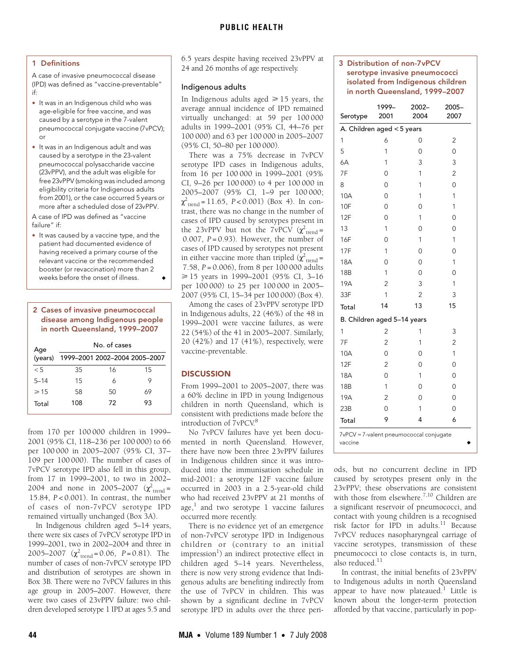# 1 Definitions

A case of invasive pneumococcal disease (IPD) was defined as "vaccine-preventable" if:

- It was in an Indigenous child who was age-eligible for free vaccine, and was caused by a serotype in the 7-valent pneumococcal conjugate vaccine (7vPCV);  $\Omega$
- It was in an Indigenous adult and was caused by a serotype in the 23-valent pneumococcal polysaccharide vaccine (23vPPV), and the adult was eligible for free 23vPPV (smoking was included among eligibility criteria for Indigenous adults from 2001), or the case occurred 5 years or more after a scheduled dose of 23vPPV.

A case of IPD was defined as "vaccine failure" if:

• It was caused by a vaccine type, and the patient had documented evidence of having received a primary course of the relevant vaccine or the recommended booster (or revaccination) more than 2 weeks before the onset of illness.

### 2 Cases of invasive pneumococcal disease among Indigenous people in north Queensland, 1999–2007

| Age       | No. of cases |    |                               |  |
|-----------|--------------|----|-------------------------------|--|
| (years)   |              |    | 1999-2001 2002-2004 2005-2007 |  |
| $\leq 5$  | 35           | 16 | 15                            |  |
| $5 - 14$  | 15           | 6  | 9                             |  |
| $\geq 15$ | 58           | 50 | 69                            |  |
| Total     | 108          | 72 | 93                            |  |

from 170 per 100 000 children in 1999– 2001 (95% CI, 118–236 per 100 000) to 66 per 100 000 in 2005–2007 (95% CI, 37– 109 per 100 000). The number of cases of 7vPCV serotype IPD also fell in this group, from 17 in 1999–2001, to two in 2002– 2004 and none in 2005–2007  $(\chi^2_{\text{trend}} =$ 15.84, *P* < 0.001). In contrast, the number of cases of non-7vPCV serotype IPD remained virtually unchanged (Box 3A).

In Indigenous children aged 5–14 years, there were six cases of 7vPCV serotype IPD in 1999–2001, two in 2002–2004 and three in 2005–2007  $(\chi^2_{\text{trend}} = 0.06, P = 0.81)$ . The number of cases of non-7vPCV serotype IPD and distribution of serotypes are shown in Box 3B. There were no 7vPCV failures in this age group in 2005–2007. However, there were two cases of 23vPPV failure: two children developed serotype 1 IPD at ages 5.5 and

6.5 years despite having received 23vPPV at 24 and 26 months of age respectively.

#### Indigenous adults

In Indigenous adults aged  $\geq 15$  years, the average annual incidence of IPD remained virtually unchanged: at 59 per 100 000 adults in 1999–2001 (95% CI, 44–76 per 100 000) and 63 per 100 000 in 2005–2007 (95% CI, 50–80 per 100 000).

There was a 75% decrease in 7vPCV serotype IPD cases in Indigenous adults, from 16 per 100 000 in 1999–2001 (95% CI, 9–26 per 100 000) to 4 per 100 000 in 2005–2007 (95% CI, 1–9 per 100 000;  $\chi^2_{\text{trend}} = 11.65, P < 0.001)$  (Box 4). In contrast, there was no change in the number of cases of IPD caused by serotypes present in the 23vPPV but not the 7vPCV  $(\chi^2_{\text{trend}} =$ 0.007, *P* = 0.93). However, the number of cases of IPD caused by serotypes not present in either vaccine more than tripled  $(\chi^2_{\text{trend}} =$ 7.58, *P* = 0.006), from 8 per 100 000 adults - 15 years in 1999–2001 (95% CI, 3–16 per 100 000) to 25 per 100 000 in 2005– 2007 (95% CI, 15–34 per 100 000) (Box 4).

Among the cases of 23vPPV serotype IPD in Indigenous adults, 22 (46%) of the 48 in 1999–2001 were vaccine failures, as were 22 (54%) of the 41 in 2005–2007. Similarly, 20 (42%) and 17 (41%), respectively, were vaccine-preventable.

# **DISCUSSION**

From 1999–2001 to 2005–2007, there was a 60% decline in IPD in young Indigenous children in north Queensland, which is consistent with predictions made before the introduction of 7vPCV.<sup>8</sup>

No 7vPCV failures have yet been documented in north Queensland. However, there have now been three 23vPPV failures in Indigenous children since it was introduced into the immunisation schedule in mid-2001: a serotype 12F vaccine failure occurred in 2003 in a 2.5-year-old child who had received 23vPPV at 21 months of age,<sup>[1](#page-3-0)</sup> and two serotype 1 vaccine failures occurred more recently.

There is no evidence yet of an emergence of non-7vPCV serotype IPD in Indigenous children or (contrary to an initial impression<sup>[1](#page-3-0)</sup>) an indirect protective effect in children aged 5–14 years. Nevertheless, there is now very strong evidence that Indigenous adults are benefiting indirectly from the use of 7vPCV in children. This was shown by a significant decline in 7vPCV serotype IPD in adults over the three peri3 Distribution of non-7vPCV serotype invasive pneumococci isolated from Indigenous children in north Queensland, 1999–2007

| Serotype                                           | 1999–<br>2001  | $2002 -$<br>2004 | $2005 -$<br>2007 |  |  |  |
|----------------------------------------------------|----------------|------------------|------------------|--|--|--|
| A. Children aged < 5 years                         |                |                  |                  |  |  |  |
| 1                                                  | 6              | 0                | 2                |  |  |  |
| 5                                                  | 1              | 0                | $\overline{O}$   |  |  |  |
| 6A                                                 | 1              | 3                | 3                |  |  |  |
| 7F                                                 | 0              | 1                | $\overline{2}$   |  |  |  |
| 8                                                  | $\overline{O}$ | 1                | $\overline{O}$   |  |  |  |
| 10A                                                | $\overline{O}$ | 1                | 1                |  |  |  |
| 10F                                                | 0              | 0                | 1                |  |  |  |
| 12F                                                | $\overline{O}$ | 1                | $\overline{O}$   |  |  |  |
| 13                                                 | 1              | $\Omega$         | 0                |  |  |  |
| 16F                                                | 0              | 1                | 1                |  |  |  |
| 17F                                                | 1              | 0                | 0                |  |  |  |
| 18A                                                | 0              | 0                | 1                |  |  |  |
| 18B                                                | 1              | 0                | 0                |  |  |  |
| 19A                                                | $\overline{c}$ | 3                | 1                |  |  |  |
| 33F                                                | 1              | $\overline{2}$   | 3                |  |  |  |
| Total                                              | 14             | 13               | 15               |  |  |  |
| B. Children aged 5-14 years                        |                |                  |                  |  |  |  |
| 1                                                  | $\overline{2}$ | 1                | 3                |  |  |  |
| 7F                                                 | $\overline{2}$ | 1                | $\overline{2}$   |  |  |  |
| 10A                                                | $\overline{O}$ | 0                | 1                |  |  |  |
| 12F                                                | $\overline{2}$ | $\Omega$         | $\overline{O}$   |  |  |  |
| 18A                                                | $\overline{0}$ | 1                | 0                |  |  |  |
| 18 <sub>B</sub>                                    | 1              | 0                | 0                |  |  |  |
| 19A                                                | $\overline{2}$ | 0                | $\Omega$         |  |  |  |
| 23B                                                | $\overline{O}$ | 1                | $\overline{O}$   |  |  |  |
| Total                                              | 9              | 4                | 6                |  |  |  |
| 7vPCV = 7-valent pneumococcal conjugate<br>vaccine |                |                  |                  |  |  |  |

ods, but no concurrent decline in IPD caused by serotypes present only in the 23vPPV; these observations are consistent with those from elsewhere.<sup>[7,](#page-3-5)10</sup> Children are a significant reservoir of pneumococci, and contact with young children is a recognised risk factor for IPD in adults.<sup>11</sup> Because 7vPCV reduces nasopharyngeal carriage of vaccine serotypes, transmission of these pneumococci to close contacts is, in turn, also reduced. $11$ 

In contrast, the initial benefits of 23vPPV to Indigenous adults in north Queensland appear to have now plateaued.<sup>[1](#page-3-0)</sup> Little is known about the longer-term protection afforded by that vaccine, particularly in pop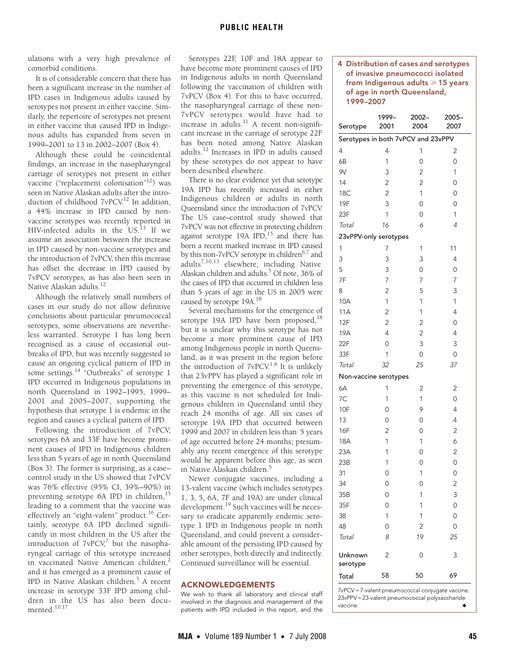ulations with a very high prevalence of comorbid conditions.

It is of considerable concern that there has been a significant increase in the number of IPD cases in Indigenous adults caused by serotypes not present in either vaccine. Similarly, the repertoire of serotypes not present in either vaccine that caused IPD in Indigenous adults has expanded from seven in 1999–2001 to 13 in 2002–2007 (Box 4).

Although these could be coincidental findings, an increase in the nasopharyngeal carriage of serotypes not present in either vaccine ("replacement colonisation"[12](#page-3-11)) was seen in Native Alaskan adults after the introduction of childhood 7vPCV.<sup>12</sup> In addition. a 44% increase in IPD caused by nonvaccine serotypes was recently reported in HIV-infected adults in the US.<sup>13</sup> If we assume an association between the increase in IPD caused by non-vaccine serotypes and the introduction of 7vPCV, then this increase has offset the decrease in IPD caused by 7vPCV serotypes, as has also been seen in Native Alaskan adults.[12](#page-3-11)

Although the relatively small numbers of cases in our study do not allow definitive conclusions about particular pneumococcal serotypes, some observations are nevertheless warranted. Serotype 1 has long been recognised as a cause of occasional outbreaks of IPD, but was recently suggested to cause an ongoing cyclical pattern of IPD in some settings.<sup>[14](#page-3-13) "</sup>Outbreaks" of serotype 1 IPD occurred in Indigenous populations in north Queensland in 1992–1995, 1999– 2001 and 2005–2007, supporting the hypothesis that serotype 1 is endemic in the region and causes a cyclical pattern of IPD.

Following the introduction of 7vPCV, serotypes 6A and 33F have become prominent causes of IPD in Indigenous children less than 5 years of age in north Queensland (Box 3). The former is surprising, as a case– control study in the US showed that 7vPCV was 76% effective (95% CI, 39%–90%) in preventing serotype 6A IPD in children,<sup>[15](#page-3-14)</sup> leading to a comment that the vaccine was effectively an "eight-valent" product.<sup>16</sup> Certainly, serotype 6A IPD declined significantly in most children in the US after the introduction of  $7vPCV<sub>i</sub><sup>7</sup>$  but the nasopharyngeal carriage of this serotype increased in vaccinated Native American children,<sup>[2](#page-3-1)</sup> and it has emerged as a prominent cause of IPD in Native Alaskan children.<sup>[5](#page-3-4)</sup> A recent increase in serotype 33F IPD among children in the US has also been documented[.10](#page-3-9),[17](#page-3-16)

Serotypes 22F, 10F and 18A appear to have become more prominent causes of IPD in Indigenous adults in north Queensland following the vaccination of children with 7vPCV (Box 4). For this to have occurred, the nasopharyngeal carriage of these non-7vPCV serotypes would have had to  $\frac{1}{2}$  increase in adults.<sup>11</sup> A recent non-significant increase in the carriage of serotype 22F has been noted among Native Alaskan adults.[12](#page-3-11) Increases in IPD in adults caused by these serotypes do not appear to have been described elsewhere.

There is no clear evidence yet that serotype 19A IPD has recently increased in either Indigenous children or adults in north Queensland since the introduction of 7vPCV. The US case–control study showed that 7vPCV was not effective in protecting children against serotype 19A IPD, $15$  and there has been a recent marked increase in IPD caused by this non-7vPCV serotype in children<sup>[6](#page-3-17),7</sup> and  $adults^{7,10,13}$  $adults^{7,10,13}$  $adults^{7,10,13}$  $adults^{7,10,13}$  $adults^{7,10,13}$  $adults^{7,10,13}$  $adults^{7,10,13}$  elsewhere, including Native Alaskan children and adults.<sup>5</sup> Of note, 36% of the cases of IPD that occurred in children less than 5 years of age in the US in 2005 were caused by serotype 19A[.18](#page-3-18)

Several mechanisms for the emergence of serotype 19A IPD have been proposed,  $^{18}$  $^{18}$  $^{18}$ but it is unclear why this serotype has not become a more prominent cause of IPD among Indigenous people in north Queensland, as it was present in the region before the introduction of 7vPCV.[1,](#page-3-0)[8](#page-3-6) It is unlikely that 23vPPV has played a significant role in preventing the emergence of this serotype, as this vaccine is not scheduled for Indigenous children in Queensland until they reach 24 months of age. All six cases of serotype 19A IPD that occurred between 1999 and 2007 in children less than 5 years of age occurred before 24 months; presumably any recent emergence of this serotype would be apparent before this age, as seen in Native Alaskan children[.5](#page-3-4)

Newer conjugate vaccines, including a 13-valent vaccine (which includes serotypes 1, 3, 5, 6A, 7F and 19A) are under clinical development.<sup>19</sup> Such vaccines will be necessary to eradicate apparently endemic serotype 1 IPD in Indigenous people in north Queensland, and could prevent a considerable amount of the persisting IPD caused by other serotypes, both directly and indirectly. Continued surveillance will be essential.

# ACKNOWLEDGEMENTS

We wish to thank all laboratory and clinical staff involved in the diagnosis and management of the patients with IPD included in this report, and the 4 Distribution of cases and serotypes of invasive pneumococci isolated from Indigenous adults  $\geqslant$  15 years of age in north Queensland, 1999–2007

| Serotype                           | 1999-<br>2001  | 2002-<br>2004  | 2005-<br>2007  |  |  |  |
|------------------------------------|----------------|----------------|----------------|--|--|--|
| Serotypes in both 7vPCV and 23vPPV |                |                |                |  |  |  |
| 4                                  | $\overline{4}$ | 1              | 2              |  |  |  |
| 6B                                 | 1              | $\overline{0}$ | $\overline{0}$ |  |  |  |
| 9V                                 | 3              | $\overline{c}$ | 1              |  |  |  |
| 14                                 | $\overline{c}$ | $\overline{c}$ | $\overline{0}$ |  |  |  |
| 18C                                | $\overline{c}$ | 1              | 0              |  |  |  |
| <b>19F</b>                         | 3              | 0              | 0              |  |  |  |
| 23F                                | $\mathbf{1}$   | 0              | 1              |  |  |  |
| Total                              | 16             | 6              | $\overline{4}$ |  |  |  |
| 23vPPV-only serotypes              |                |                |                |  |  |  |
| 1                                  | 7              | 1              | 11             |  |  |  |
| 3                                  | 3              | 3              | 4              |  |  |  |
| 5                                  | 3              | 0              | 0              |  |  |  |
| 7F                                 | 7              | 7              | 7              |  |  |  |
| 8                                  | $\overline{c}$ | 5              | 3              |  |  |  |
| 10A                                | $\mathbf{1}$   | 1              | 1              |  |  |  |
| 11A                                | $\overline{c}$ | 1              | $\overline{4}$ |  |  |  |
| 12F                                | $\overline{c}$ | $\overline{2}$ | 0              |  |  |  |
| 19A                                | $\overline{4}$ | $\overline{c}$ | 4              |  |  |  |
| 22F                                | $\overline{0}$ | 3              | 3              |  |  |  |
| 33F                                | 1              | 0              | 0              |  |  |  |
| Total                              | 32             | 25             | 37             |  |  |  |
| Non-vaccine serotypes              |                |                |                |  |  |  |
| 6A                                 | 1              | 2              | 2              |  |  |  |
| 7C                                 | 1              | $\mathbf{1}$   | 0              |  |  |  |
| 10F                                | $\overline{0}$ | 9              | 4              |  |  |  |
| 13                                 | $\overline{0}$ | 0              | 4              |  |  |  |
| 16F                                | $\overline{2}$ | 0              | $\overline{c}$ |  |  |  |
| 18A                                | 1              | 1              | 6              |  |  |  |
| 23A                                | 1              | 0              | $\overline{c}$ |  |  |  |
| 23B                                | 1              | 0              | 0              |  |  |  |
| 31                                 | $\overline{0}$ | 1              | $\overline{0}$ |  |  |  |
| 34                                 | $\overline{0}$ | $\overline{0}$ | $\overline{c}$ |  |  |  |
| 35B                                | 0              | 1              | 3              |  |  |  |
| 35F                                | $\overline{0}$ | 1              | $\overline{0}$ |  |  |  |
| 38                                 | 1              | 1              | 0              |  |  |  |
| 48                                 | $\overline{0}$ | $\overline{2}$ | 0              |  |  |  |
| Total                              | 8              | 19             | 25             |  |  |  |
| Unknown<br>serotype                | 2              | 0              | 3              |  |  |  |
| Total                              | 58             | 50             | 69             |  |  |  |

7vPCV =7-valent pneumococcal conjugate vaccine. 23vPPV =23-valent pneumococcal polysaccharide vaccine.